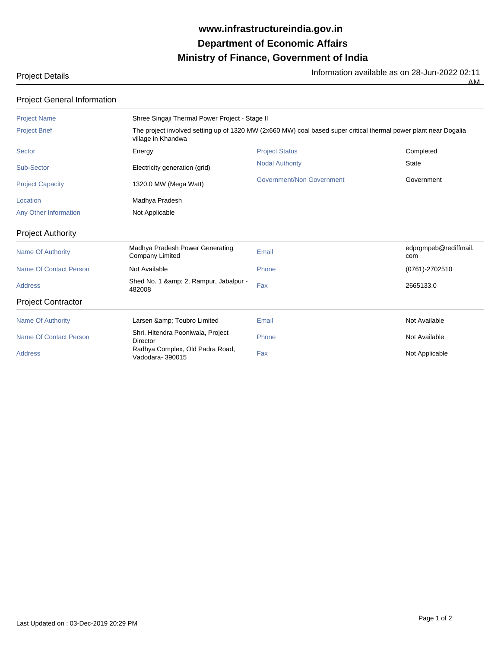## **Ministry of Finance, Government of India Department of Economic Affairs www.infrastructureindia.gov.in**

| Project Details |  |
|-----------------|--|
|-----------------|--|

Project Details Information available as on 28-Jun-2022 02:11 AM

| <b>Project General Information</b> |                                                                                                                                        |                           |                              |  |  |
|------------------------------------|----------------------------------------------------------------------------------------------------------------------------------------|---------------------------|------------------------------|--|--|
| <b>Project Name</b>                | Shree Singaji Thermal Power Project - Stage II                                                                                         |                           |                              |  |  |
| <b>Project Brief</b>               | The project involved setting up of 1320 MW (2x660 MW) coal based super critical thermal power plant near Dogalia<br>village in Khandwa |                           |                              |  |  |
| <b>Sector</b>                      | Energy                                                                                                                                 | <b>Project Status</b>     | Completed                    |  |  |
| Sub-Sector                         | Electricity generation (grid)                                                                                                          | <b>Nodal Authority</b>    | <b>State</b>                 |  |  |
| <b>Project Capacity</b>            | 1320.0 MW (Mega Watt)                                                                                                                  | Government/Non Government | Government                   |  |  |
| Location                           | Madhya Pradesh                                                                                                                         |                           |                              |  |  |
| Any Other Information              | Not Applicable                                                                                                                         |                           |                              |  |  |
| <b>Project Authority</b>           |                                                                                                                                        |                           |                              |  |  |
| <b>Name Of Authority</b>           | Madhya Pradesh Power Generating<br><b>Company Limited</b>                                                                              | Email                     | edprgmpeb@rediffmail.<br>com |  |  |
| <b>Name Of Contact Person</b>      | Not Available                                                                                                                          | Phone                     | (0761)-2702510               |  |  |
| <b>Address</b>                     | Shed No. 1 & amp; 2, Rampur, Jabalpur -<br>482008                                                                                      | Fax                       | 2665133.0                    |  |  |
| <b>Project Contractor</b>          |                                                                                                                                        |                           |                              |  |  |
| <b>Name Of Authority</b>           | Larsen & Toubro Limited                                                                                                                | Email                     | Not Available                |  |  |
| Name Of Contact Person             | Shri. Hitendra Pooniwala, Project<br>Director                                                                                          | Phone                     | Not Available                |  |  |
| <b>Address</b>                     | Radhya Complex, Old Padra Road,<br>Vadodara-390015                                                                                     | Fax                       | Not Applicable               |  |  |